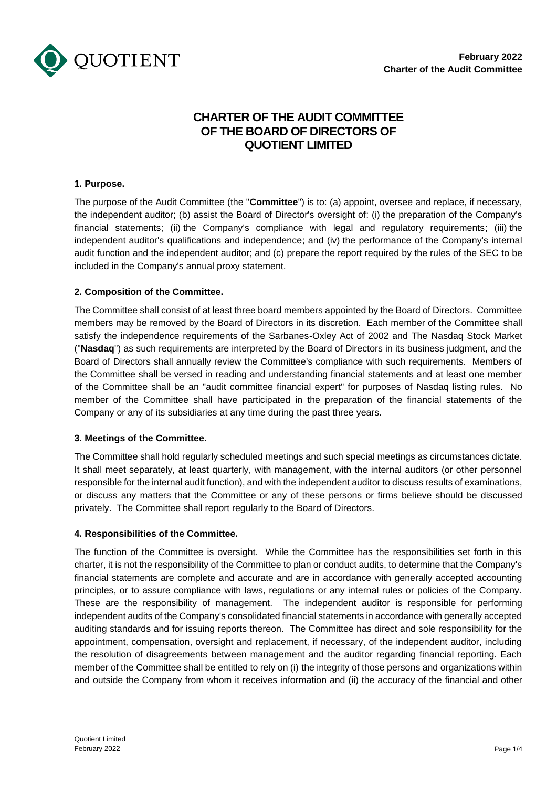

# **CHARTER OF THE AUDIT COMMITTEE OF THE BOARD OF DIRECTORS OF QUOTIENT LIMITED**

## **1. Purpose.**

The purpose of the Audit Committee (the "**Committee**") is to: (a) appoint, oversee and replace, if necessary, the independent auditor; (b) assist the Board of Director's oversight of: (i) the preparation of the Company's financial statements; (ii) the Company's compliance with legal and regulatory requirements; (iii) the independent auditor's qualifications and independence; and (iv) the performance of the Company's internal audit function and the independent auditor; and (c) prepare the report required by the rules of the SEC to be included in the Company's annual proxy statement.

### **2. Composition of the Committee.**

The Committee shall consist of at least three board members appointed by the Board of Directors. Committee members may be removed by the Board of Directors in its discretion. Each member of the Committee shall satisfy the independence requirements of the Sarbanes-Oxley Act of 2002 and The Nasdaq Stock Market ("**Nasdaq**") as such requirements are interpreted by the Board of Directors in its business judgment, and the Board of Directors shall annually review the Committee's compliance with such requirements. Members of the Committee shall be versed in reading and understanding financial statements and at least one member of the Committee shall be an "audit committee financial expert" for purposes of Nasdaq listing rules. No member of the Committee shall have participated in the preparation of the financial statements of the Company or any of its subsidiaries at any time during the past three years.

## **3. Meetings of the Committee.**

The Committee shall hold regularly scheduled meetings and such special meetings as circumstances dictate. It shall meet separately, at least quarterly, with management, with the internal auditors (or other personnel responsible for the internal audit function), and with the independent auditor to discuss results of examinations, or discuss any matters that the Committee or any of these persons or firms believe should be discussed privately. The Committee shall report regularly to the Board of Directors.

## **4. Responsibilities of the Committee.**

The function of the Committee is oversight. While the Committee has the responsibilities set forth in this charter, it is not the responsibility of the Committee to plan or conduct audits, to determine that the Company's financial statements are complete and accurate and are in accordance with generally accepted accounting principles, or to assure compliance with laws, regulations or any internal rules or policies of the Company. These are the responsibility of management. The independent auditor is responsible for performing independent audits of the Company's consolidated financial statements in accordance with generally accepted auditing standards and for issuing reports thereon. The Committee has direct and sole responsibility for the appointment, compensation, oversight and replacement, if necessary, of the independent auditor, including the resolution of disagreements between management and the auditor regarding financial reporting. Each member of the Committee shall be entitled to rely on (i) the integrity of those persons and organizations within and outside the Company from whom it receives information and (ii) the accuracy of the financial and other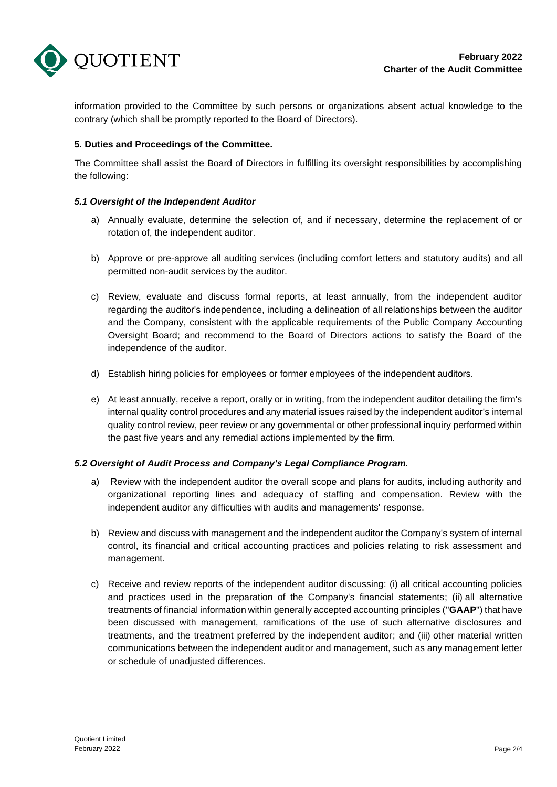

information provided to the Committee by such persons or organizations absent actual knowledge to the contrary (which shall be promptly reported to the Board of Directors).

## **5. Duties and Proceedings of the Committee.**

The Committee shall assist the Board of Directors in fulfilling its oversight responsibilities by accomplishing the following:

### *5.1 Oversight of the Independent Auditor*

- a) Annually evaluate, determine the selection of, and if necessary, determine the replacement of or rotation of, the independent auditor.
- b) Approve or pre-approve all auditing services (including comfort letters and statutory audits) and all permitted non-audit services by the auditor.
- c) Review, evaluate and discuss formal reports, at least annually, from the independent auditor regarding the auditor's independence, including a delineation of all relationships between the auditor and the Company, consistent with the applicable requirements of the Public Company Accounting Oversight Board; and recommend to the Board of Directors actions to satisfy the Board of the independence of the auditor.
- d) Establish hiring policies for employees or former employees of the independent auditors.
- e) At least annually, receive a report, orally or in writing, from the independent auditor detailing the firm's internal quality control procedures and any material issues raised by the independent auditor's internal quality control review, peer review or any governmental or other professional inquiry performed within the past five years and any remedial actions implemented by the firm.

## *5.2 Oversight of Audit Process and Company's Legal Compliance Program.*

- a) Review with the independent auditor the overall scope and plans for audits, including authority and organizational reporting lines and adequacy of staffing and compensation. Review with the independent auditor any difficulties with audits and managements' response.
- b) Review and discuss with management and the independent auditor the Company's system of internal control, its financial and critical accounting practices and policies relating to risk assessment and management.
- c) Receive and review reports of the independent auditor discussing: (i) all critical accounting policies and practices used in the preparation of the Company's financial statements; (ii) all alternative treatments of financial information within generally accepted accounting principles ("**GAAP**") that have been discussed with management, ramifications of the use of such alternative disclosures and treatments, and the treatment preferred by the independent auditor; and (iii) other material written communications between the independent auditor and management, such as any management letter or schedule of unadjusted differences.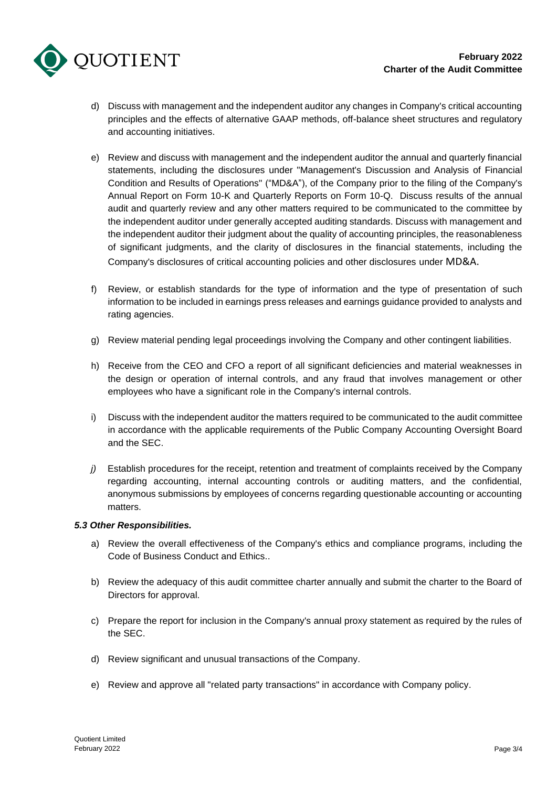

- d) Discuss with management and the independent auditor any changes in Company's critical accounting principles and the effects of alternative GAAP methods, off-balance sheet structures and regulatory and accounting initiatives.
- e) Review and discuss with management and the independent auditor the annual and quarterly financial statements, including the disclosures under "Management's Discussion and Analysis of Financial Condition and Results of Operations" ("MD&A"), of the Company prior to the filing of the Company's Annual Report on Form 10-K and Quarterly Reports on Form 10-Q. Discuss results of the annual audit and quarterly review and any other matters required to be communicated to the committee by the independent auditor under generally accepted auditing standards. Discuss with management and the independent auditor their judgment about the quality of accounting principles, the reasonableness of significant judgments, and the clarity of disclosures in the financial statements, including the Company's disclosures of critical accounting policies and other disclosures under MD&A.
- f) Review, or establish standards for the type of information and the type of presentation of such information to be included in earnings press releases and earnings guidance provided to analysts and rating agencies.
- g) Review material pending legal proceedings involving the Company and other contingent liabilities.
- h) Receive from the CEO and CFO a report of all significant deficiencies and material weaknesses in the design or operation of internal controls, and any fraud that involves management or other employees who have a significant role in the Company's internal controls.
- i) Discuss with the independent auditor the matters required to be communicated to the audit committee in accordance with the applicable requirements of the Public Company Accounting Oversight Board and the SEC.
- *j*) Establish procedures for the receipt, retention and treatment of complaints received by the Company regarding accounting, internal accounting controls or auditing matters, and the confidential, anonymous submissions by employees of concerns regarding questionable accounting or accounting matters.

#### *5.3 Other Responsibilities.*

- a) Review the overall effectiveness of the Company's ethics and compliance programs, including the Code of Business Conduct and Ethics..
- b) Review the adequacy of this audit committee charter annually and submit the charter to the Board of Directors for approval.
- c) Prepare the report for inclusion in the Company's annual proxy statement as required by the rules of the SEC.
- d) Review significant and unusual transactions of the Company.
- e) Review and approve all "related party transactions" in accordance with Company policy.